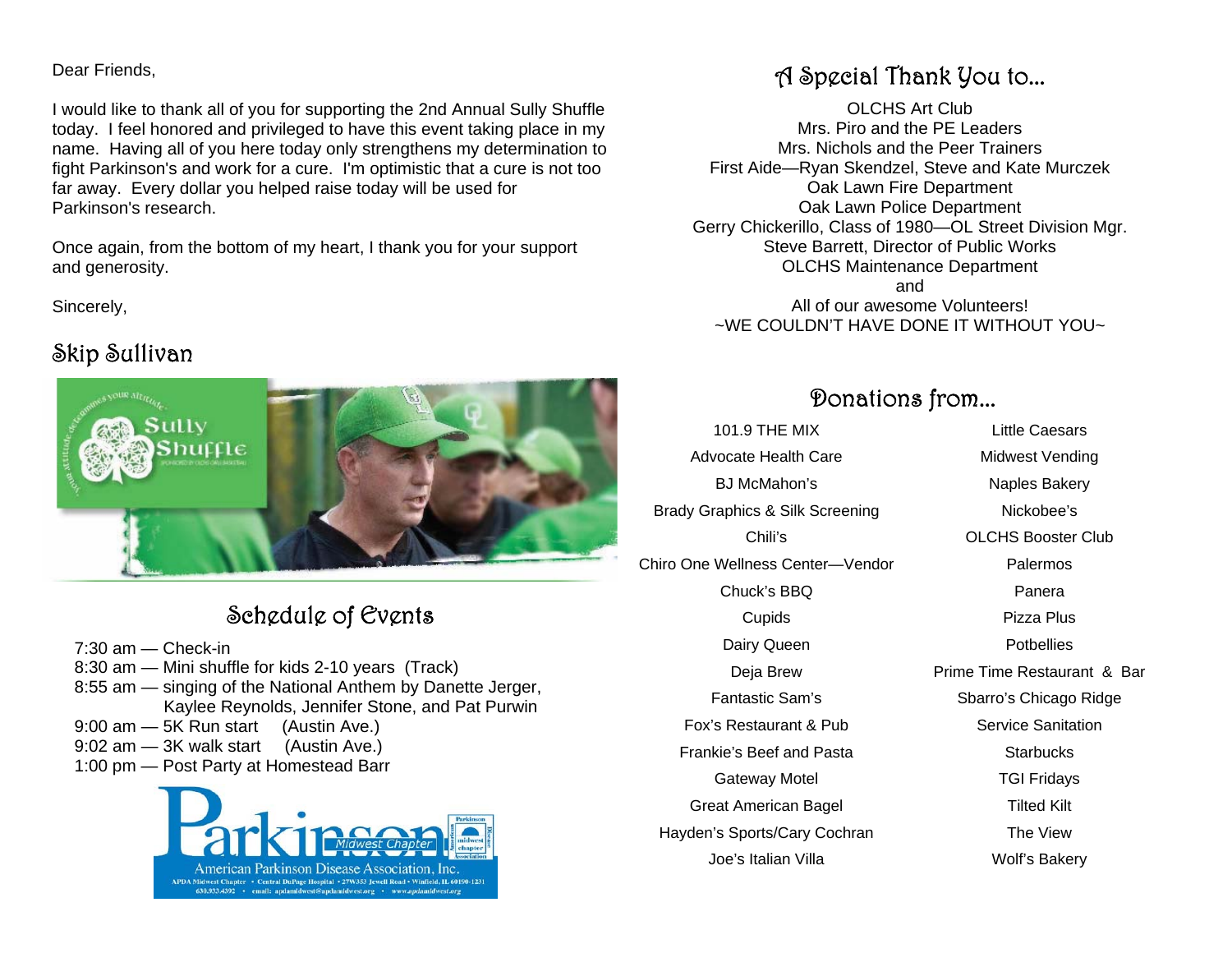#### Dear Friends,

I would like to thank all of you for supporting the 2nd Annual Sully Shuffle today. I feel honored and privileged to have this event taking place in my name. Having all of you here today only strengthens my determination to fight Parkinson's and work for a cure. I'm optimistic that a cure is not too far away. Every dollar you helped raise today will be used for Parkinson's research.

Once again, from the bottom of my heart, I thank you for your support and generosity.

Sincerely,

#### Skip Sullivan



### Schedule of Events

- 7:30 am Check-in
- 8:30 am Mini shuffle for kids 2-10 years (Track)
- 8:55 am singing of the National Anthem by Danette Jerger, Kaylee Reynolds, Jennifer Stone, and Pat Purwin
- 9:00 am 5K Run start (Austin Ave.)
- 9:02 am 3K walk start (Austin Ave.)
- 1:00 pm Post Party at Homestead Barr



#### A Special Thank You to...

OLCHS Art Club Mrs. Piro and the PE Leaders Mrs. Nichols and the Peer Trainers First Aide—Ryan Skendzel, Steve and Kate Murczek Oak Lawn Fire Department Oak Lawn Police Department Gerry Chickerillo, Class of 1980—OL Street Division Mgr. Steve Barrett, Director of Public Works OLCHS Maintenance Department and All of our awesome Volunteers! ~WE COULDN'T HAVE DONE IT WITHOUT YOU~

#### Donations from...

101.9 THE MIX Advocate Health Care BJ McMahon's Brady Graphics & Silk Screening Chili's Chiro One Wellness Center—Vendor Chuck's BBQ **Cupids** Dairy Queen Deja Brew Fantastic Sam's Fox's Restaurant & Pub Frankie's Beef and Pasta Gateway Motel Great American Bagel Hayden's Sports/Cary Cochran Joe's Italian Villa

Little Caesars Midwest Vending Naples Bakery Nickobee's OLCHS Booster Club Palermos Panera Pizza Plus **Potbellies** Prime Time Restaurant & Bar Sbarro's Chicago Ridge Service Sanitation **Starbucks** TGI Fridays Tilted Kilt The View

Wolf's Bakery